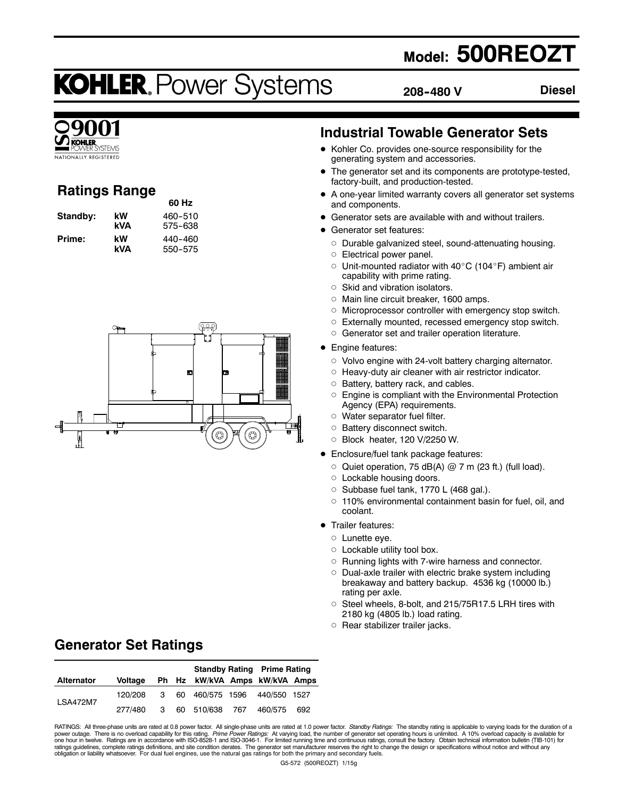# **Model: 500REOZT**

# **KOHLER. Power Systems**

**60 Hz**

**208--480 V**

**Diesel**



# **Ratings Range**

| Standby: | kW  | 460-510 |
|----------|-----|---------|
|          | kVA | 575-638 |
| Prime:   | kW  | 440-460 |
|          | kVA | 550-575 |



### **Industrial Towable Generator Sets**

- Kohler Co. provides one-source responsibility for the generating system and accessories.
- The generator set and its components are prototype-tested, factory-built, and production-tested.
- $\bullet$  A one-year limited warranty covers all generator set systems and components.
- Generator sets are available with and without trailers.
- **•** Generator set features:
	- o Durable galvanized steel, sound-attenuating housing.
	- o Electrical power panel.
	- $\circ$  Unit-mounted radiator with 40°C (104°F) ambient air capability with prime rating.
	- $\circ$  Skid and vibration isolators.
	- o Main line circuit breaker, 1600 amps.
	- $\circ$  Microprocessor controller with emergency stop switch.
	- o Externally mounted, recessed emergency stop switch.
	- o Generator set and trailer operation literature.
- Engine features:
	- $\circ$  Volvo engine with 24-volt battery charging alternator.
	- $\circ$  Heavy-duty air cleaner with air restrictor indicator.
	- $\circ$  Battery, battery rack, and cables.
	- $\circ$  Engine is compliant with the Environmental Protection Agency (EPA) requirements.
	- $\circ$  Water separator fuel filter.
	- o Battery disconnect switch.
	- d Block heater, 120 V/2250 W.
- **•** Enclosure/fuel tank package features:
	- $\circ$  Quiet operation, 75 dB(A)  $@$  7 m (23 ft.) (full load).
	- $\circ$  Lockable housing doors.
	- O Subbase fuel tank, 1770 L (468 gal.).
	- $\circ$  110% environmental containment basin for fuel, oil, and coolant.
- Trailer features:
	- $\circ$  Lunette eye.
	- $\circ$  Lockable utility tool box.
	- o Running lights with 7-wire harness and connector.
	- $\circ$  Dual-axle trailer with electric brake system including breakaway and battery backup. 4536 kg (10000 lb.) rating per axle.
	- Steel wheels, 8-bolt, and 215/75R17.5 LRH tires with 2180 kg (4805 lb.) load rating.
	- $\circ$  Rear stabilizer trailer jacks.

# **Generator Set Ratings**

|                   |         |              | <b>Standby Rating Prime Rating</b> |  |  |     |
|-------------------|---------|--------------|------------------------------------|--|--|-----|
| <b>Alternator</b> | Voltage |              | Ph Hz kW/kVA Amps kW/kVA Amps      |  |  |     |
|                   | 120/208 | $\mathbf{3}$ | 60 460/575 1596 440/550 1527       |  |  |     |
| <b>LSA472M7</b>   | 277/480 | 3            | 60 510/638 767 460/575             |  |  | 692 |

RATINGS: All three-phase units are rated at 0.8 power factor. All single-phase units are rated at 1.0 power factor. *Standby Ratings:* The standby rating is applicable to varying loads for the duration of a<br>power outage. T ratings guidelines, complete ratings definitions, and site condition derates. The generator set manufacturer reserves the right to change the design or specifications without notice and without any<br>obligation or liability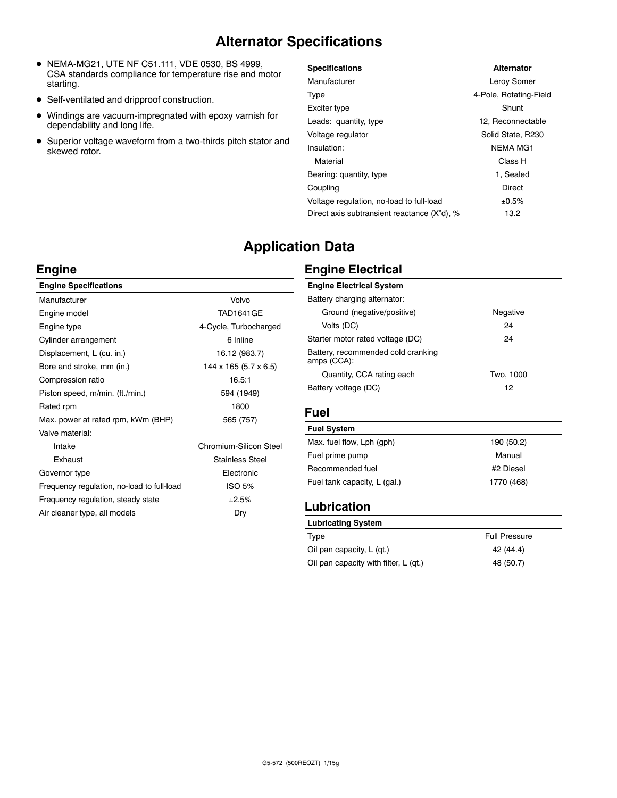# **Alternator Specifications**

- $\bullet$  NEMA-MG21, UTE NF C51.111, VDE 0530, BS 4999, CSA standards compliance for temperature rise and motor starting.
- Self-ventilated and dripproof construction.
- $\bullet$  Windings are vacuum-impregnated with epoxy varnish for dependability and long life.
- Superior voltage waveform from a two-thirds pitch stator and skewed rotor.

| <b>Specifications</b>                       | <b>Alternator</b>      |
|---------------------------------------------|------------------------|
| Manufacturer                                | Leroy Somer            |
| Type                                        | 4-Pole, Rotating-Field |
| Exciter type                                | Shunt                  |
| Leads: quantity, type                       | 12. Reconnectable      |
| Voltage regulator                           | Solid State, R230      |
| Insulation:                                 | <b>NEMA MG1</b>        |
| Material                                    | Class H                |
| Bearing: quantity, type                     | 1. Sealed              |
| Coupling                                    | Direct                 |
| Voltage regulation, no-load to full-load    | ±0.5%                  |
| Direct axis subtransient reactance (X"d), % | 13.2                   |

# **Application Data**

### **Engine**

| Volvo                               |
|-------------------------------------|
| <b>TAD1641GF</b>                    |
| 4-Cycle, Turbocharged               |
| 6 Inline                            |
| 16.12 (983.7)                       |
| $144 \times 165$ (5.7 $\times$ 6.5) |
| 16.5:1                              |
| 594 (1949)                          |
| 1800                                |
| 565 (757)                           |
|                                     |
| Chromium-Silicon Steel              |
| <b>Stainless Steel</b>              |
| Electronic                          |
| <b>ISO 5%</b>                       |
| ±2.5%                               |
| Dry                                 |
|                                     |

## **Engine Electrical**

| <b>Engine Electrical System</b>                   |           |
|---------------------------------------------------|-----------|
| Battery charging alternator:                      |           |
| Ground (negative/positive)                        | Negative  |
| Volts (DC)                                        | 24        |
| Starter motor rated voltage (DC)                  | 24        |
| Battery, recommended cold cranking<br>amps (CCA): |           |
| Quantity, CCA rating each                         | Two, 1000 |
| Battery voltage (DC)                              | 12        |

#### **Fuel**

Ē,

| Fuel System                  |            |
|------------------------------|------------|
| Max. fuel flow, Lph (gph)    | 190 (50.2) |
| Fuel prime pump              | Manual     |
| Recommended fuel             | #2 Diesel  |
| Fuel tank capacity, L (gal.) | 1770 (468) |
|                              |            |

### **Lubrication**

| Lubricating System                    |                      |
|---------------------------------------|----------------------|
| Type                                  | <b>Full Pressure</b> |
| Oil pan capacity, L (gt.)             | 42 (44.4)            |
| Oil pan capacity with filter, L (qt.) | 48 (50.7)            |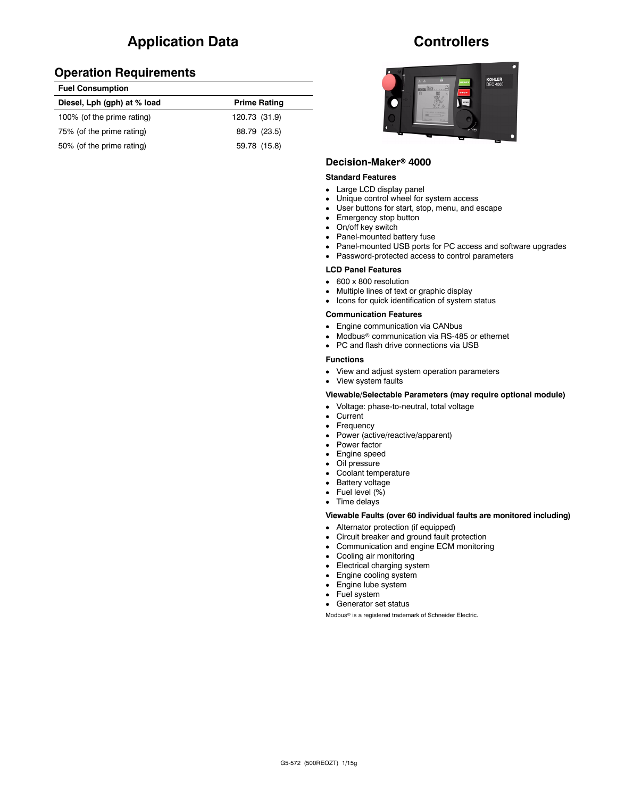# **Application Data**

#### **Operation Requirements**

| <b>Fuel Consumption</b>     |                     |
|-----------------------------|---------------------|
| Diesel, Lph (gph) at % load | <b>Prime Rating</b> |
| 100% (of the prime rating)  | 120.73 (31.9)       |
| 75% (of the prime rating)   | 88.79 (23.5)        |
| 50% (of the prime rating)   | 59.78 (15.8)        |

### **Controllers**



#### **Decision-Maker<sup>®</sup> 4000**

#### **Standard Features**

- Large LCD display panel
- Unique control wheel for system access
- User buttons for start, stop, menu, and escape
- $\bullet$  Emergency stop button
- On/off key switch
- Panel-mounted battery fuse
- Panel-mounted USB ports for PC access and software upgrades
- Password-protected access to control parameters

#### **LCD Panel Features**

- $\cdot$  600 x 800 resolution
- Multiple lines of text or graphic display
- Icons for quick identification of system status

#### **Communication Features**

- Engine communication via CANbus
- $\bullet$  Modbus<sup>®</sup> communication via RS-485 or ethernet
- PC and flash drive connections via USB

#### **Functions**

• View and adjust system operation parameters

• View system faults

#### **Viewable/Selectable Parameters (may require optional module)**

- Voltage: phase-to-neutral, total voltage
- $\bullet$  Current
- Frequency
- Power (active/reactive/apparent)
- Power factor
- Engine speed
- Oil pressure
- Coolant temperature
- Battery voltage
- $\bullet$  Fuel level  $(\%)$
- Time delays

#### **Viewable Faults (over 60 individual faults are monitored including)**

- Alternator protection (if equipped)
- Circuit breaker and ground fault protection
- Communication and engine ECM monitoring
- Cooling air monitoring
- $\bullet$  Electrical charging system
- $\bullet$  Engine cooling system
- Engine lube system
- Fuel system
- Generator set status

Modbus<sup>®</sup> is a registered trademark of Schneider Electric.